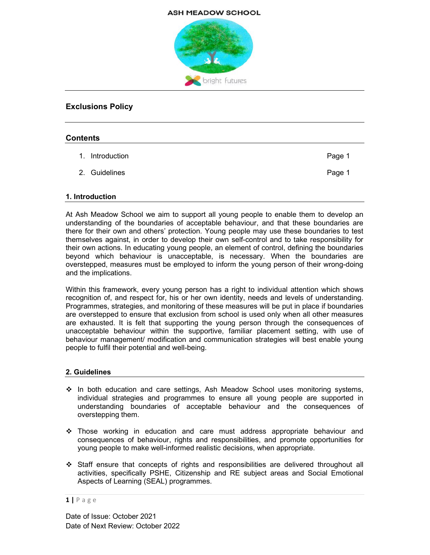#### **ASH MEADOW SCHOOL**



# Exclusions Policy

### **Contents**

| 1. Introduction | Page 1 |
|-----------------|--------|
| 2. Guidelines   | Page 1 |

#### 1. Introduction

At Ash Meadow School we aim to support all young people to enable them to develop an understanding of the boundaries of acceptable behaviour, and that these boundaries are there for their own and others' protection. Young people may use these boundaries to test themselves against, in order to develop their own self-control and to take responsibility for their own actions. In educating young people, an element of control, defining the boundaries beyond which behaviour is unacceptable, is necessary. When the boundaries are overstepped, measures must be employed to inform the young person of their wrong-doing and the implications.

Within this framework, every young person has a right to individual attention which shows recognition of, and respect for, his or her own identity, needs and levels of understanding. Programmes, strategies, and monitoring of these measures will be put in place if boundaries are overstepped to ensure that exclusion from school is used only when all other measures are exhausted. It is felt that supporting the young person through the consequences of unacceptable behaviour within the supportive, familiar placement setting, with use of behaviour management/ modification and communication strategies will best enable young people to fulfil their potential and well-being.

## 2. Guidelines

- $\div$  In both education and care settings, Ash Meadow School uses monitoring systems, individual strategies and programmes to ensure all young people are supported in understanding boundaries of acceptable behaviour and the consequences of overstepping them.
- Those working in education and care must address appropriate behaviour and consequences of behaviour, rights and responsibilities, and promote opportunities for young people to make well-informed realistic decisions, when appropriate.
- $\div$  Staff ensure that concepts of rights and responsibilities are delivered throughout all activities, specifically PSHE, Citizenship and RE subject areas and Social Emotional Aspects of Learning (SEAL) programmes.

 $1 | P \text{ a ge}$